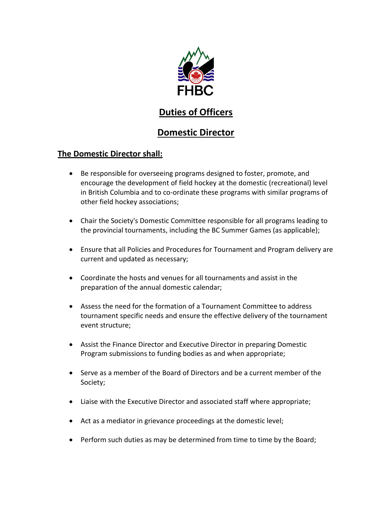

# **Duties of Officers**

# **Domestic Director**

# **The Domestic Director shall:**

- Be responsible for overseeing programs designed to foster, promote, and encourage the development of field hockey at the domestic (recreational) level in British Columbia and to co-ordinate these programs with similar programs of other field hockey associations;
- Chair the Society's Domestic Committee responsible for all programs leading to the provincial tournaments, including the BC Summer Games (as applicable);
- Ensure that all Policies and Procedures for Tournament and Program delivery are current and updated as necessary;
- Coordinate the hosts and venues for all tournaments and assist in the preparation of the annual domestic calendar;
- Assess the need for the formation of a Tournament Committee to address tournament specific needs and ensure the effective delivery of the tournament event structure;
- Assist the Finance Director and Executive Director in preparing Domestic Program submissions to funding bodies as and when appropriate;
- Serve as a member of the Board of Directors and be a current member of the Society;
- Liaise with the Executive Director and associated staff where appropriate;
- Act as a mediator in grievance proceedings at the domestic level;
- Perform such duties as may be determined from time to time by the Board;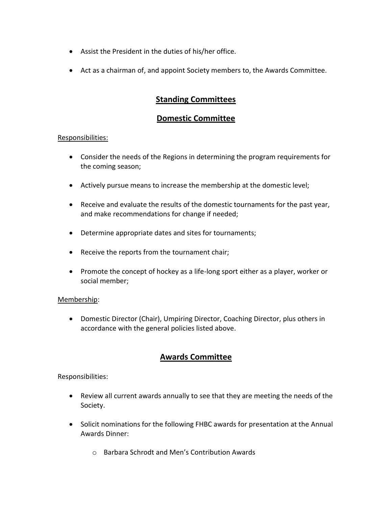- Assist the President in the duties of his/her office.
- Act as a chairman of, and appoint Society members to, the Awards Committee.

## **Standing Committees**

### **Domestic Committee**

#### Responsibilities:

- Consider the needs of the Regions in determining the program requirements for the coming season;
- Actively pursue means to increase the membership at the domestic level;
- Receive and evaluate the results of the domestic tournaments for the past year, and make recommendations for change if needed;
- Determine appropriate dates and sites for tournaments;
- Receive the reports from the tournament chair;
- Promote the concept of hockey as a life-long sport either as a player, worker or social member;

### Membership:

 Domestic Director (Chair), Umpiring Director, Coaching Director, plus others in accordance with the general policies listed above.

## **Awards Committee**

Responsibilities:

- Review all current awards annually to see that they are meeting the needs of the Society.
- Solicit nominations for the following FHBC awards for presentation at the Annual Awards Dinner:
	- o Barbara Schrodt and Men's Contribution Awards